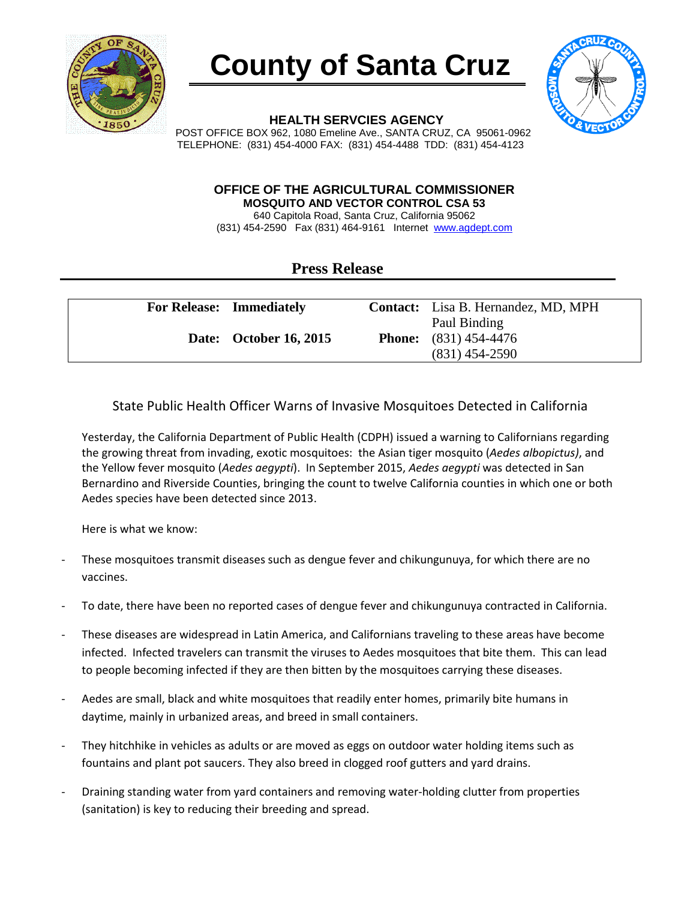





**HEALTH SERVCIES AGENCY**

POST OFFICE BOX 962, 1080 Emeline Ave., SANTA CRUZ, CA 95061-0962 TELEPHONE: (831) 454-4000 FAX: (831) 454-4488 TDD: (831) 454-4123

## **OFFICE OF THE AGRICULTURAL COMMISSIONER MOSQUITO AND VECTOR CONTROL CSA 53**

640 Capitola Road, Santa Cruz, California 95062 (831) 454-2590 Fax (831) 464-9161 Internet [www.agdept.com](http://www.agdept.com/)

## **Press Release**

| <b>For Release: Immediately</b> | Contact: Lisa B. Hernandez, MD, MPH                                |
|---------------------------------|--------------------------------------------------------------------|
| <b>Date:</b> October 16, 2015   | Paul Binding<br><b>Phone:</b> $(831)$ 454-4476<br>$(831)$ 454-2590 |

## State Public Health Officer Warns of Invasive Mosquitoes Detected in California

Yesterday, the California Department of Public Health (CDPH) issued a warning to Californians regarding the growing threat from invading, exotic mosquitoes: the Asian tiger mosquito (*Aedes albopictus)*, and the Yellow fever mosquito (*Aedes aegypti*). In September 2015, *Aedes aegypti* was detected in San Bernardino and Riverside Counties, bringing the count to twelve California counties in which one or both Aedes species have been detected since 2013.

Here is what we know:

- These mosquitoes transmit diseases such as dengue fever and chikungunuya, for which there are no vaccines.
- To date, there have been no reported cases of dengue fever and chikungunuya contracted in California.
- These diseases are widespread in Latin America, and Californians traveling to these areas have become infected. Infected travelers can transmit the viruses to Aedes mosquitoes that bite them. This can lead to people becoming infected if they are then bitten by the mosquitoes carrying these diseases.
- Aedes are small, black and white mosquitoes that readily enter homes, primarily bite humans in daytime, mainly in urbanized areas, and breed in small containers.
- They hitchhike in vehicles as adults or are moved as eggs on outdoor water holding items such as fountains and plant pot saucers. They also breed in clogged roof gutters and yard drains.
- Draining standing water from yard containers and removing water-holding clutter from properties (sanitation) is key to reducing their breeding and spread.